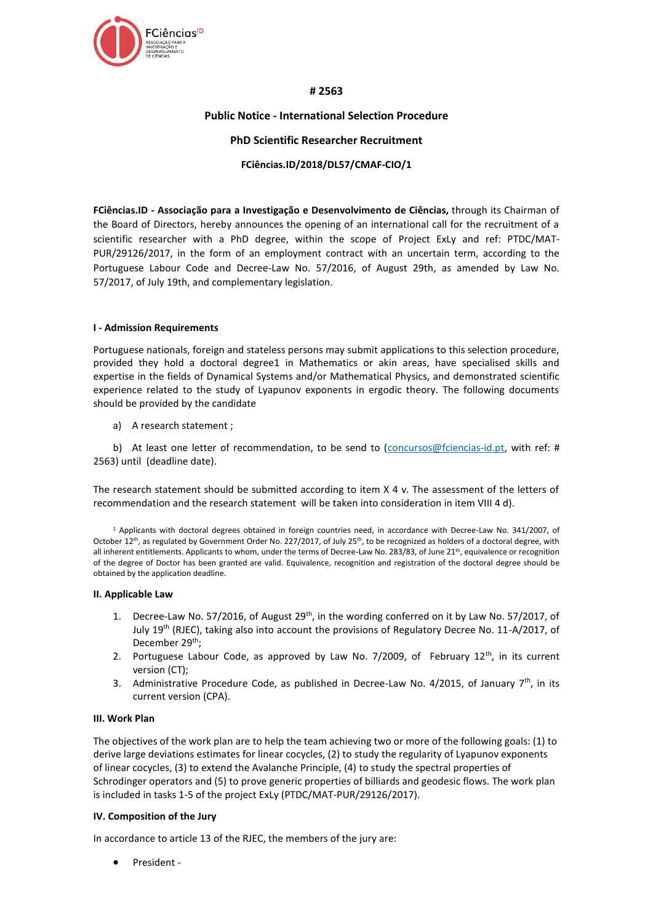

## **# 2563**

### **Public Notice - International Selection Procedure**

### **PhD Scientific Researcher Recruitment**

### **FCiências.ID/2018/DL57/CMAF-CIO/1**

**FCiências.ID - Associação para a Investigação e Desenvolvimento de Ciências,** through its Chairman of the Board of Directors, hereby announces the opening of an international call for the recruitment of a scientific researcher with a PhD degree, within the scope of Project ExLy and ref: PTDC/MAT-PUR/29126/2017, in the form of an employment contract with an uncertain term, according to the Portuguese Labour Code and Decree-Law No. 57/2016, of August 29th, as amended by Law No. 57/2017, of July 19th, and complementary legislation.

### **I - Admission Requirements**

Portuguese nationals, foreign and stateless persons may submit applications to this selection procedure, provided they hold a doctoral degree1 in Mathematics or akin areas, have specialised skills and expertise in the fields of Dynamical Systems and/or Mathematical Physics, and demonstrated scientific experience related to the study of Lyapunov exponents in ergodic theory. The following documents should be provided by the candidate

a) A research statement ;

b) At least one letter of recommendation, to be send to [\(concursos@fciencias-id.pt,](mailto:concursos@fciencias-id.pt) with ref: # 2563) until (deadline date).

The research statement should be submitted according to item X 4 v. The assessment of the letters of recommendation and the research statement will be taken into consideration in item VIII 4 d).

<sup>1</sup> Applicants with doctoral degrees obtained in foreign countries need, in accordance with Decree-Law No. 341/2007, of October 12<sup>th</sup>, as regulated by Government Order No. 227/2017, of July 25<sup>th</sup>, to be recognized as holders of a doctoral degree, with all inherent entitlements. Applicants to whom, under the terms of Decree-Law No. 283/83, of June 21<sup>th</sup>, equivalence or recognition of the degree of Doctor has been granted are valid. Equivalence, recognition and registration of the doctoral degree should be obtained by the application deadline.

#### **II. Applicable Law**

- 1. Decree-Law No. 57/2016, of August 29<sup>th</sup>, in the wording conferred on it by Law No. 57/2017, of July 19th (RJEC), taking also into account the provisions of Regulatory Decree No. 11-A/2017, of December 29<sup>th</sup>:
- 2. Portuguese Labour Code, as approved by Law No. 7/2009, of February  $12<sup>th</sup>$ , in its current version (CT);
- 3. Administrative Procedure Code, as published in Decree-Law No. 4/2015, of January  $7<sup>th</sup>$ , in its current version (CPA).

#### **III. Work Plan**

The objectives of the work plan are to help the team achieving two or more of the following goals: (1) to derive large deviations estimates for linear cocycles, (2) to study the regularity of Lyapunov exponents of linear cocycles, (3) to extend the Avalanche Principle, (4) to study the spectral properties of Schrodinger operators and (5) to prove generic properties of billiards and geodesic flows. The work plan is included in tasks 1-5 of the project ExLy (PTDC/MAT-PUR/29126/2017).

#### **IV. Composition of the Jury**

In accordance to article 13 of the RJEC, the members of the jury are:

President -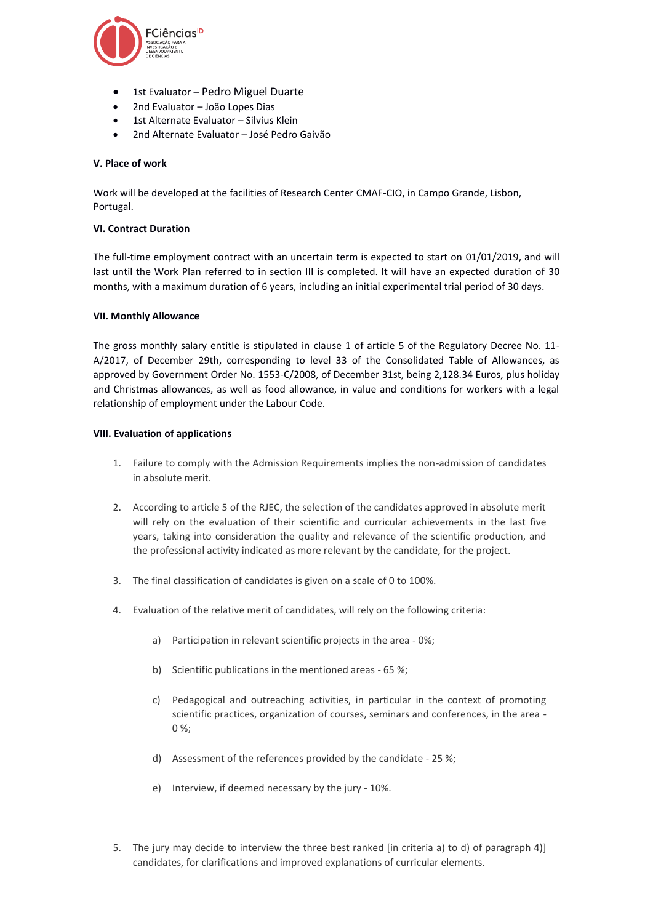

- 1st Evaluator Pedro Miguel Duarte
- 2nd Evaluator João Lopes Dias
- 1st Alternate Evaluator Silvius Klein
- 2nd Alternate Evaluator José Pedro Gaivão

## **V. Place of work**

Work will be developed at the facilities of Research Center CMAF-CIO, in Campo Grande, Lisbon, Portugal.

### **VI. Contract Duration**

The full-time employment contract with an uncertain term is expected to start on 01/01/2019, and will last until the Work Plan referred to in section III is completed. It will have an expected duration of 30 months, with a maximum duration of 6 years, including an initial experimental trial period of 30 days.

### **VII. Monthly Allowance**

The gross monthly salary entitle is stipulated in clause 1 of article 5 of the Regulatory Decree No. 11- A/2017, of December 29th, corresponding to level 33 of the Consolidated Table of Allowances, as approved by Government Order No. 1553-C/2008, of December 31st, being 2,128.34 Euros, plus holiday and Christmas allowances, as well as food allowance, in value and conditions for workers with a legal relationship of employment under the Labour Code.

### **VIII. Evaluation of applications**

- 1. Failure to comply with the Admission Requirements implies the non-admission of candidates in absolute merit.
- 2. According to article 5 of the RJEC, the selection of the candidates approved in absolute merit will rely on the evaluation of their scientific and curricular achievements in the last five years, taking into consideration the quality and relevance of the scientific production, and the professional activity indicated as more relevant by the candidate, for the project.
- 3. The final classification of candidates is given on a scale of 0 to 100%.
- 4. Evaluation of the relative merit of candidates, will rely on the following criteria:
	- a) Participation in relevant scientific projects in the area 0%;
	- b) Scientific publications in the mentioned areas 65 %;
	- c) Pedagogical and outreaching activities, in particular in the context of promoting scientific practices, organization of courses, seminars and conferences, in the area - 0 %;
	- d) Assessment of the references provided by the candidate 25 %;
	- e) Interview, if deemed necessary by the jury 10%.
- 5. The jury may decide to interview the three best ranked [in criteria a) to d) of paragraph 4)] candidates, for clarifications and improved explanations of curricular elements.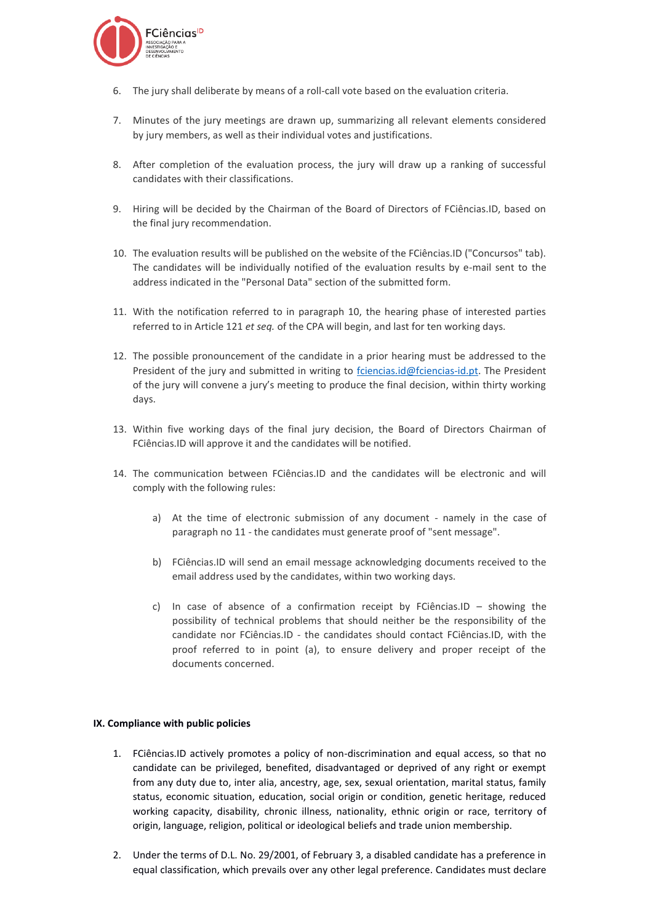

- 6. The jury shall deliberate by means of a roll-call vote based on the evaluation criteria.
- 7. Minutes of the jury meetings are drawn up, summarizing all relevant elements considered by jury members, as well as their individual votes and justifications.
- 8. After completion of the evaluation process, the jury will draw up a ranking of successful candidates with their classifications.
- 9. Hiring will be decided by the Chairman of the Board of Directors of FCiências.ID, based on the final jury recommendation.
- 10. The evaluation results will be published on the website of the FCiências.ID ("Concursos" tab). The candidates will be individually notified of the evaluation results by e-mail sent to the address indicated in the "Personal Data" section of the submitted form.
- 11. With the notification referred to in paragraph 10, the hearing phase of interested parties referred to in Article 121 *et seq.* of the CPA will begin, and last for ten working days.
- 12. The possible pronouncement of the candidate in a prior hearing must be addressed to the President of the jury and submitted in writing to [fciencias.id@fciencias-id.pt.](mailto:fciencias.id@fciencias-id.ptt) The President of the jury will convene a jury's meeting to produce the final decision, within thirty working days.
- 13. Within five working days of the final jury decision, the Board of Directors Chairman of FCiências.ID will approve it and the candidates will be notified.
- 14. The communication between FCiências.ID and the candidates will be electronic and will comply with the following rules:
	- a) At the time of electronic submission of any document namely in the case of paragraph no 11 - the candidates must generate proof of "sent message".
	- b) FCiências.ID will send an email message acknowledging documents received to the email address used by the candidates, within two working days.
	- c) In case of absence of a confirmation receipt by FCiências.ID showing the possibility of technical problems that should neither be the responsibility of the candidate nor FCiências.ID - the candidates should contact FCiências.ID, with the proof referred to in point (a), to ensure delivery and proper receipt of the documents concerned.

## **IX. Compliance with public policies**

- 1. FCiências.ID actively promotes a policy of non-discrimination and equal access, so that no candidate can be privileged, benefited, disadvantaged or deprived of any right or exempt from any duty due to, inter alia, ancestry, age, sex, sexual orientation, marital status, family status, economic situation, education, social origin or condition, genetic heritage, reduced working capacity, disability, chronic illness, nationality, ethnic origin or race, territory of origin, language, religion, political or ideological beliefs and trade union membership.
- 2. Under the terms of D.L. No. 29/2001, of February 3, a disabled candidate has a preference in equal classification, which prevails over any other legal preference. Candidates must declare